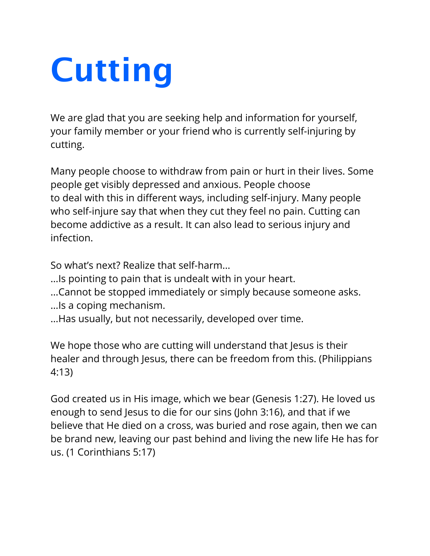## **Cutting**

We are glad that you are seeking help and information for yourself, your family member or your friend who is currently self-injuring by cutting.

Many people choose to withdraw from pain or hurt in their lives. Some people get visibly depressed and anxious. People choose to deal with this in different ways, including self-injury. Many people who self-injure say that when they cut they feel no pain. Cutting can become addictive as a result. It can also lead to serious injury and infection.

So what's next? Realize that self-harm...

- ...Is pointing to pain that is undealt with in your heart.
- ...Cannot be stopped immediately or simply because someone asks.
- ...Is a coping mechanism.
- ...Has usually, but not necessarily, developed over time.

We hope those who are cutting will understand that Jesus is their healer and through Jesus, there can be freedom from this. (Philippians 4:13)

God created us in His image, which we bear (Genesis 1:27). He loved us enough to send Jesus to die for our sins (John 3:16), and that if we believe that He died on a cross, was buried and rose again, then we can be brand new, leaving our past behind and living the new life He has for us. (1 Corinthians 5:17)